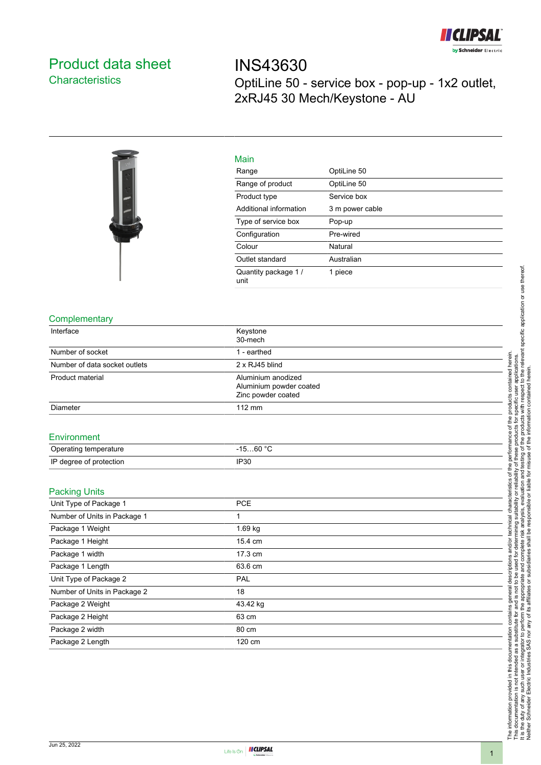

## <span id="page-0-0"></span>Product data sheet **Characteristics**

INS43630 OptiLine 50 - service box - pop-up - 1x2 outlet, 2xRJ45 30 Mech/Keystone - AU



| Main                         |                 |
|------------------------------|-----------------|
| Range                        | OptiLine 50     |
| Range of product             | OptiLine 50     |
| Product type                 | Service box     |
| Additional information       | 3 m power cable |
| Type of service box          | Pop-up          |
| Configuration                | Pre-wired       |
| Colour                       | Natural         |
| Outlet standard              | Australian      |
| Quantity package 1 /<br>unit | 1 piece         |

## **Complementary**

| Interface                     | Keystone                |  |
|-------------------------------|-------------------------|--|
|                               | 30-mech                 |  |
| Number of socket              | 1 - earthed             |  |
| Number of data socket outlets | 2 x RJ45 blind          |  |
| Product material              | Aluminium anodized      |  |
|                               | Aluminium powder coated |  |
|                               | Zinc powder coated      |  |
| Diameter                      | 112 mm                  |  |
| Environment                   |                         |  |
| Operating temperature         | $-1560 °C$              |  |
| IP degree of protection       | <b>IP30</b>             |  |
| <b>Packing Units</b>          |                         |  |
| Unit Type of Package 1        | PCE                     |  |
| Number of Units in Package 1  | 1                       |  |
| Package 1 Weight              | 1.69 kg                 |  |
| Package 1 Height              | 15.4 cm                 |  |
| Package 1 width               | 17.3 cm                 |  |
| Package 1 Length              | 63.6 cm                 |  |
| Unit Type of Package 2        | PAL                     |  |
| Number of Units in Package 2  | 18                      |  |
| Package 2 Weight              | 43.42 kg                |  |
| Package 2 Height              | 63 cm                   |  |
| Package 2 width               | 80 cm                   |  |
| Package 2 Length              | 120 cm                  |  |